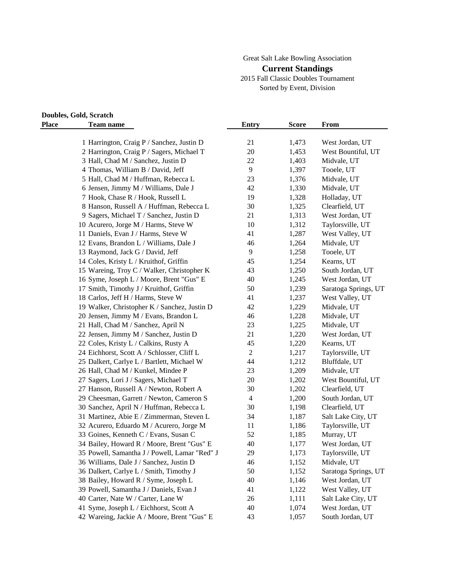### Great Salt Lake Bowling Association

#### **Current Standings**

2015 Fall Classic Doubles Tournament Sorted by Event, Division

# **Doubles, Gold, Scratch**

| <b>Place</b> | <b>Team name</b>                              | Entry          | <b>Score</b> | From                 |
|--------------|-----------------------------------------------|----------------|--------------|----------------------|
|              | 1 Harrington, Craig P / Sanchez, Justin D     | 21             | 1,473        | West Jordan, UT      |
|              | 2 Harrington, Craig P / Sagers, Michael T     | 20             | 1,453        | West Bountiful, UT   |
|              | 3 Hall, Chad M / Sanchez, Justin D            | 22             | 1,403        | Midvale, UT          |
|              | 4 Thomas, William B / David, Jeff             | 9              | 1,397        | Tooele, UT           |
|              | 5 Hall, Chad M / Huffman, Rebecca L           | 23             | 1,376        | Midvale, UT          |
|              | 6 Jensen, Jimmy M / Williams, Dale J          | 42             | 1,330        | Midvale, UT          |
|              | 7 Hook, Chase R / Hook, Russell L             | 19             | 1,328        | Holladay, UT         |
|              | 8 Hanson, Russell A / Huffman, Rebecca L      | 30             | 1,325        | Clearfield, UT       |
|              | 9 Sagers, Michael T / Sanchez, Justin D       | 21             | 1,313        | West Jordan, UT      |
|              | 10 Acurero, Jorge M / Harms, Steve W          | 10             | 1,312        | Taylorsville, UT     |
|              | 11 Daniels, Evan J / Harms, Steve W           | 41             |              |                      |
|              |                                               | 46             | 1,287        | West Valley, UT      |
|              | 12 Evans, Brandon L / Williams, Dale J        | $\overline{9}$ | 1,264        | Midvale, UT          |
|              | 13 Raymond, Jack G / David, Jeff              |                | 1,258        | Tooele, UT           |
|              | 14 Coles, Kristy L / Kruithof, Griffin        | 45             | 1,254        | Kearns, UT           |
|              | 15 Wareing, Troy C / Walker, Christopher K    | 43             | 1,250        | South Jordan, UT     |
|              | 16 Syme, Joseph L / Moore, Brent "Gus" E      | 40             | 1,245        | West Jordan, UT      |
|              | 17 Smith, Timothy J / Kruithof, Griffin       | 50             | 1,239        | Saratoga Springs, UT |
|              | 18 Carlos, Jeff H / Harms, Steve W            | 41             | 1,237        | West Valley, UT      |
|              | 19 Walker, Christopher K / Sanchez, Justin D  | 42             | 1,229        | Midvale, UT          |
|              | 20 Jensen, Jimmy M / Evans, Brandon L         | 46             | 1,228        | Midvale, UT          |
|              | 21 Hall, Chad M / Sanchez, April N            | 23             | 1,225        | Midvale, UT          |
|              | 22 Jensen, Jimmy M / Sanchez, Justin D        | 21             | 1,220        | West Jordan, UT      |
|              | 22 Coles, Kristy L / Calkins, Rusty A         | 45             | 1,220        | Kearns, UT           |
|              | 24 Eichhorst, Scott A / Schlosser, Cliff L    | $\sqrt{2}$     | 1,217        | Taylorsville, UT     |
|              | 25 Dalkert, Carlye L / Bartlett, Michael W    | 44             | 1,212        | Bluffdale, UT        |
|              | 26 Hall, Chad M / Kunkel, Mindee P            | 23             | 1,209        | Midvale, UT          |
|              | 27 Sagers, Lori J / Sagers, Michael T         | 20             | 1,202        | West Bountiful, UT   |
|              | 27 Hanson, Russell A / Newton, Robert A       | 30             | 1,202        | Clearfield, UT       |
|              | 29 Cheesman, Garrett / Newton, Cameron S      | $\overline{4}$ | 1,200        | South Jordan, UT     |
|              | 30 Sanchez, April N / Huffman, Rebecca L      | 30             | 1,198        | Clearfield, UT       |
|              | 31 Martinez, Abie E / Zimmerman, Steven L     | 34             | 1,187        | Salt Lake City, UT   |
|              | 32 Acurero, Eduardo M / Acurero, Jorge M      | 11             | 1,186        | Taylorsville, UT     |
|              | 33 Goines, Kenneth C / Evans, Susan C         | 52             | 1,185        | Murray, UT           |
|              | 34 Bailey, Howard R / Moore, Brent "Gus" E    | 40             | 1,177        | West Jordan, UT      |
|              | 35 Powell, Samantha J / Powell, Lamar "Red" J | 29             | 1,173        | Taylorsville, UT     |
|              | 36 Williams, Dale J / Sanchez, Justin D       | 46             | 1,152        | Midvale, UT          |
|              | 36 Dalkert, Carlye L / Smith, Timothy J       | 50             | 1,152        | Saratoga Springs, UT |
|              | 38 Bailey, Howard R / Syme, Joseph L          | 40             | 1,146        | West Jordan, UT      |
|              | 39 Powell, Samantha J / Daniels, Evan J       | 41             | 1,122        | West Valley, UT      |
|              | 40 Carter, Nate W / Carter, Lane W            | 26             | 1,111        | Salt Lake City, UT   |
|              | 41 Syme, Joseph L / Eichhorst, Scott A        | 40             | 1,074        | West Jordan, UT      |
|              | 42 Wareing, Jackie A / Moore, Brent "Gus" E   | 43             | 1,057        | South Jordan, UT     |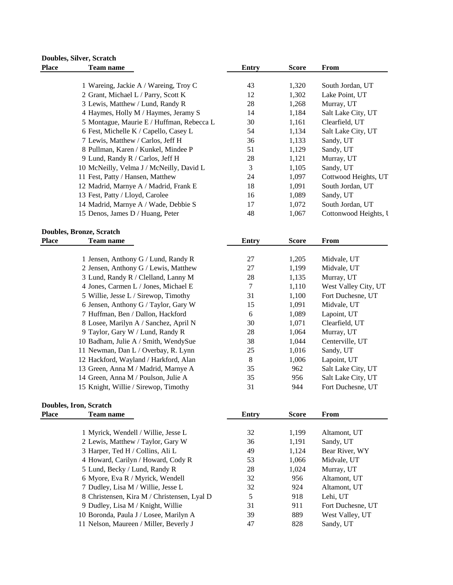#### **Doubles, Silver, Scratch Place Team name Entry Score From**

| т санн нашс                               | тани у | ouu   | т гонг                |
|-------------------------------------------|--------|-------|-----------------------|
|                                           |        |       |                       |
| 1 Wareing, Jackie A / Wareing, Troy C     | 43     | 1,320 | South Jordan, UT      |
| 2 Grant, Michael L / Parry, Scott K       | 12     | 1,302 | Lake Point, UT        |
| 3 Lewis, Matthew / Lund, Randy R          | 28     | 1,268 | Murray, UT            |
| 4 Haymes, Holly M / Haymes, Jeramy S      | 14     | 1,184 | Salt Lake City, UT    |
| 5 Montague, Maurie E / Huffman, Rebecca L | 30     | 1,161 | Clearfield, UT        |
| 6 Fest, Michelle K / Capello, Casey L     | 54     | 1,134 | Salt Lake City, UT    |
| 7 Lewis, Matthew / Carlos, Jeff H         | 36     | 1,133 | Sandy, UT             |
| 8 Pullman, Karen / Kunkel, Mindee P       | 51     | 1,129 | Sandy, UT             |
| 9 Lund, Randy R / Carlos, Jeff H          | 28     | 1,121 | Murray, UT            |
| 10 McNeilly, Velma J / McNeilly, David L  | 3      | 1,105 | Sandy, UT             |
| 11 Fest, Patty / Hansen, Matthew          | 24     | 1,097 | Cottwood Heights, UT  |
| 12 Madrid, Marnye A / Madrid, Frank E     | 18     | 1,091 | South Jordan, UT      |
| 13 Fest, Patty / Lloyd, Carolee           | 16     | 1,089 | Sandy, UT             |
| 14 Madrid, Marnye A / Wade, Debbie S      | 17     | 1,072 | South Jordan, UT      |
| 15 Denos, James D / Huang, Peter          | 48     | 1,067 | Cottonwood Heights, I |

#### **Doubles, Bronze, Scratch Place Team name**

| 1 Jensen, Anthony G / Lund, Randy R   |
|---------------------------------------|
| 2 Jensen, Anthony G / Lewis, Matthew  |
| 3 Lund, Randy R / Clelland, Lanny M   |
| 4 Jones, Carmen L / Jones, Michael E  |
| 5 Willie, Jesse L / Sirewop, Timothy  |
| 6 Jensen, Anthony G / Taylor, Gary W  |
| 7 Huffman, Ben / Dallon, Hackford     |
| 8 Losee, Marilyn A / Sanchez, April N |
| 9 Taylor, Gary W / Lund, Randy R      |
| 10 Badham, Julie A / Smith, WendySue  |
| 11 Newman, Dan L / Overbay, R. Lynn   |
| 12 Hackford, Wayland / Harkford, Alan |
| 13 Green, Anna M / Madrid, Marnye A   |
| 14 Green, Anna M / Poulson, Julie A   |
| 15 Knight, Willie / Sirewop, Timothy  |

## **Doubles, Iron, Scratch**

| <b>Place</b> | <b>Team name</b>                            | Entry | <b>Score</b> | From              |
|--------------|---------------------------------------------|-------|--------------|-------------------|
|              | 1 Myrick, Wendell / Willie, Jesse L         | 32    | 1,199        | Altamont, UT      |
|              | 2 Lewis, Matthew / Taylor, Gary W           | 36    | 1,191        | Sandy, UT         |
|              | 3 Harper, Ted H / Collins, Ali L            | 49    | 1,124        | Bear River, WY    |
|              | 4 Howard, Carilyn / Howard, Cody R          | 53    | 1,066        | Midvale, UT       |
|              | 5 Lund, Becky / Lund, Randy R               | 28    | 1,024        | Murray, UT        |
|              | 6 Myore, Eva R / Myrick, Wendell            | 32    | 956          | Altamont, UT      |
|              | 7 Dudley, Lisa M / Willie, Jesse L          | 32    | 924          | Altamont, UT      |
|              | 8 Christensen, Kira M / Christensen, Lyal D | 5     | 918          | Lehi, UT          |
|              | 9 Dudley, Lisa M / Knight, Willie           | 31    | 911          | Fort Duchesne, UT |
|              | 10 Boronda, Paula J / Losee, Marilyn A      | 39    | 889          | West Valley, UT   |
|              | 11 Nelson, Maureen / Miller, Beverly J      | 47    | 828          | Sandy, UT         |

| onze, Scratch                         |       |              |                      |
|---------------------------------------|-------|--------------|----------------------|
| <b>Team name</b>                      | Entry | <b>Score</b> | From                 |
|                                       |       |              |                      |
| 1 Jensen, Anthony G / Lund, Randy R   | 27    | 1,205        | Midvale, UT          |
| 2 Jensen, Anthony G / Lewis, Matthew  | 27    | 1,199        | Midvale, UT          |
| 3 Lund, Randy R / Clelland, Lanny M   | 28    | 1,135        | Murray, UT           |
| 4 Jones, Carmen L / Jones, Michael E  | 7     | 1,110        | West Valley City, UT |
| 5 Willie, Jesse L / Sirewop, Timothy  | 31    | 1,100        | Fort Duchesne, UT    |
| 6 Jensen, Anthony G / Taylor, Gary W  | 15    | 1,091        | Midvale, UT          |
| 7 Huffman, Ben / Dallon, Hackford     | 6     | 1,089        | Lapoint, UT          |
| 8 Losee, Marilyn A / Sanchez, April N | 30    | 1,071        | Clearfield, UT       |
| 9 Taylor, Gary W / Lund, Randy R      | 28    | 1,064        | Murray, UT           |
| 10 Badham, Julie A / Smith, WendySue  | 38    | 1,044        | Centerville, UT      |
| 11 Newman, Dan L / Overbay, R. Lynn   | 25    | 1,016        | Sandy, UT            |
| 12 Hackford, Wayland / Harkford, Alan | 8     | 1,006        | Lapoint, UT          |
| 13 Green, Anna M / Madrid, Marnye A   | 35    | 962          | Salt Lake City, UT   |
| 14 Green, Anna M / Poulson, Julie A   | 35    | 956          | Salt Lake City, UT   |
| 15 Knight, Willie / Sirewop, Timothy  | 31    | 944          | Fort Duchesne, UT    |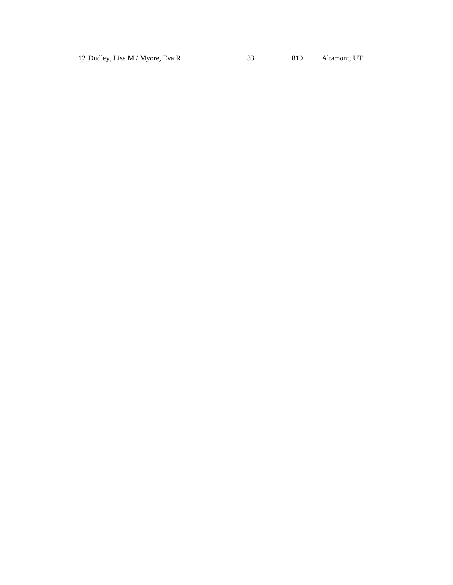12 Dudley, Lisa M / Myore, Eva R 33 819 Altamont, UT